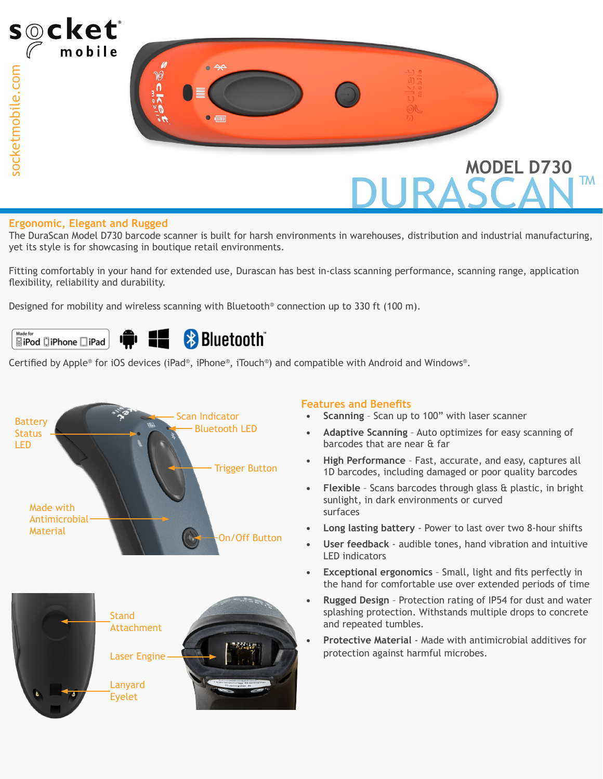

#### **Ergonomic, Elegant and Rugged**

The DuraScan Model D730 barcode scanner is built for harsh environments in warehouses, distribution and industrial manufacturing, yet its style is for showcasing in boutique retail environments.

Fitting comfortably in your hand for extended use, Durascan has best in-class scanning performance, scanning range, application flexibility, reliability and durability.

Designed for mobility and wireless scanning with Bluetooth<sup>®</sup> connection up to 330 ft (100 m).



Certified by Apple® for iOS devices (iPad®, iPhone®, iTouch®) and compatible with Android and Windows®.



#### **Features and Benefits**

- **• Scanning** Scan up to 100" with laser scanner
- **• Adaptive Scanning** Auto optimizes for easy scanning of barcodes that are near & far
- **• High Performance** Fast, accurate, and easy, captures all 1D barcodes, including damaged or poor quality barcodes
- **• Flexible**  Scans barcodes through glass & plastic, in bright sunlight, in dark environments or curved surfaces
- **• Long lasting battery**  Power to last over two 8-hour shifts
- **• User feedback** audible tones, hand vibration and intuitive LED indicators
- **• Exceptional ergonomics**  Small, light and fits perfectly in the hand for comfortable use over extended periods of time
- **• Rugged Design** Protection rating of IP54 for dust and water splashing protection. Withstands multiple drops to concrete and repeated tumbles.
- **• Protective Material** Made with antimicrobial additives for protection against harmful microbes.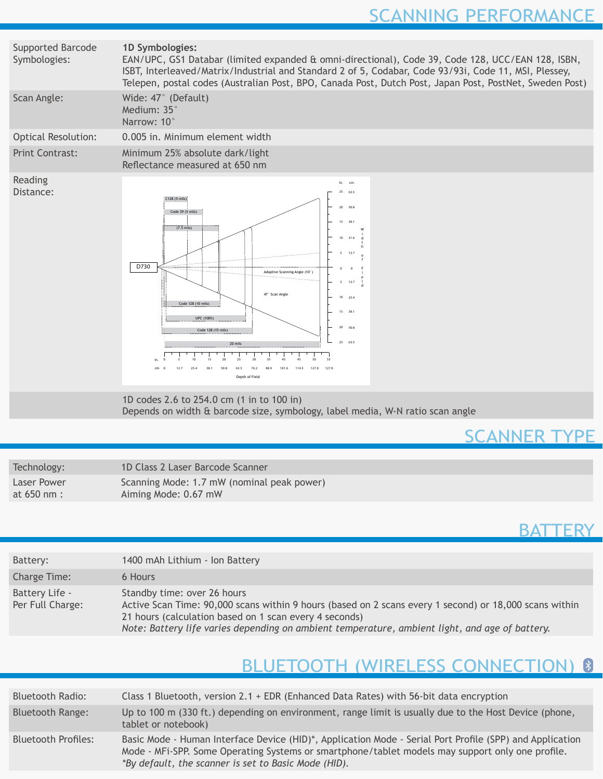| Supported Barcode<br>Symbologies: | 1D Symbologies:<br>EAN/UPC, GS1 Databar (limited expanded & omni-directional), Code 39, Code 128, UCC/EAN 128, ISBN,<br>ISBT, Interleaved/Matrix/Industrial and Standard 2 of 5, Codabar, Code 93/93i, Code 11, MSI, Plessey,<br>Telepen, postal codes (Australian Post, BPO, Canada Post, Dutch Post, Japan Post, PostNet, Sweden Post)                                                                          |  |  |  |  |  |  |
|-----------------------------------|-------------------------------------------------------------------------------------------------------------------------------------------------------------------------------------------------------------------------------------------------------------------------------------------------------------------------------------------------------------------------------------------------------------------|--|--|--|--|--|--|
| Scan Angle:                       | Wide: 47° (Default)<br>Medium: 35°<br>Narrow: 10°                                                                                                                                                                                                                                                                                                                                                                 |  |  |  |  |  |  |
| <b>Optical Resolution:</b>        | 0.005 in. Minimum element width                                                                                                                                                                                                                                                                                                                                                                                   |  |  |  |  |  |  |
| <b>Print Contrast:</b>            | Minimum 25% absolute dark/light<br>Reflectance measured at 650 nm                                                                                                                                                                                                                                                                                                                                                 |  |  |  |  |  |  |
| Reading<br>Distance:              | cm<br>63.5<br>25<br>C128 (5 mils<br>20<br>50.8<br>Code 39 (5 mils)<br>15<br>38.1<br>$(7.5 \text{ miles})$<br>10<br>31.6<br>D730<br>OURRE<br>Adaptive Scanning Angle (10°<br>$\overline{\phantom{a}}$<br>12.7<br>47° Scan Anole<br>$10-10$<br>25.4<br>Code 128 (10 mils)<br>15 38.1<br>UPC (100%)<br>20 50.8<br>Code 128 (15 mils)<br>25 63.5<br>20 mils<br>55<br>1270<br>1143<br>127.0<br>101.6<br>Depth of Field |  |  |  |  |  |  |
|                                   | 1D codes $2.6$ to $254.0$ cm $(1 \text{ in } t_0, 100 \text{ in})$                                                                                                                                                                                                                                                                                                                                                |  |  |  |  |  |  |

1D codes 2.6 to 254.0 cm (1 in to 100 in) Depends on width & barcode size, symbology, label media, W-N ratio scan angle

# SCANNER TYPE

| Technology:   | 1D Class 2 Laser Barcode Scanner           |
|---------------|--------------------------------------------|
| Laser Power   | Scanning Mode: 1.7 mW (nominal peak power) |
| at $650$ nm : | Aiming Mode: 0.67 mW                       |

## **BATTERY**

| Battery:                           | 1400 mAh Lithium - Ion Battery                                                                                                                                                                                                                                                                    |
|------------------------------------|---------------------------------------------------------------------------------------------------------------------------------------------------------------------------------------------------------------------------------------------------------------------------------------------------|
| Charge Time:                       | 6 Hours                                                                                                                                                                                                                                                                                           |
| Battery Life -<br>Per Full Charge: | Standby time: over 26 hours<br>Active Scan Time: 90,000 scans within 9 hours (based on 2 scans every 1 second) or 18,000 scans within<br>21 hours (calculation based on 1 scan every 4 seconds)<br>Note: Battery life varies depending on ambient temperature, ambient light, and age of battery. |

# BLUETOOTH (WIRELESS CONNECTION) 8

| <b>Bluetooth Radio:</b>    | Class 1 Bluetooth, version 2.1 + EDR (Enhanced Data Rates) with 56-bit data encryption                                                                                                                                                                               |
|----------------------------|----------------------------------------------------------------------------------------------------------------------------------------------------------------------------------------------------------------------------------------------------------------------|
| <b>Bluetooth Range:</b>    | Up to 100 m (330 ft.) depending on environment, range limit is usually due to the Host Device (phone,<br>tablet or notebook)                                                                                                                                         |
| <b>Bluetooth Profiles:</b> | Basic Mode - Human Interface Device (HID)*, Application Mode - Serial Port Profile (SPP) and Application<br>Mode - MFi-SPP. Some Operating Systems or smartphone/tablet models may support only one profile.<br>*By default, the scanner is set to Basic Mode (HID). |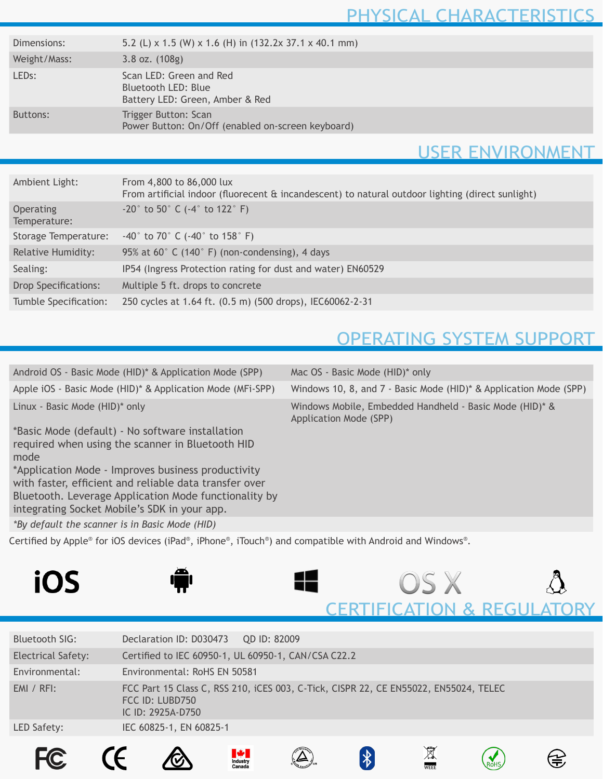# PHYSICAL CHARACTERISTICS

| Dimensions:        | 5.2 (L) x 1.5 (W) x 1.6 (H) in $(132.2x 37.1 x 40.1 mm)$                          |  |
|--------------------|-----------------------------------------------------------------------------------|--|
| Weight/Mass:       | $3.8$ oz. $(108g)$                                                                |  |
| LED <sub>s</sub> : | Scan LED: Green and Red<br>Bluetooth LED: Blue<br>Battery LED: Green, Amber & Red |  |
| Buttons:           | Trigger Button: Scan<br>Power Button: On/Off (enabled on-screen keyboard)         |  |
|                    |                                                                                   |  |

### USER ENVIRONMENT

| Ambient Light:                   | From 4,800 to 86,000 lux<br>From artificial indoor (fluorecent & incandescent) to natural outdoor lighting (direct sunlight) |
|----------------------------------|------------------------------------------------------------------------------------------------------------------------------|
| <b>Operating</b><br>Temperature: | $-20^{\circ}$ to 50° C (-4° to 122° F)                                                                                       |
| Storage Temperature:             | $-40^{\circ}$ to 70° C ( $-40^{\circ}$ to 158° F)                                                                            |
| <b>Relative Humidity:</b>        | 95% at 60° C (140° F) (non-condensing), 4 days                                                                               |
| Sealing:                         | IP54 (Ingress Protection rating for dust and water) EN60529                                                                  |
| <b>Drop Specifications:</b>      | Multiple 5 ft. drops to concrete                                                                                             |
| Tumble Specification:            | 250 cycles at 1.64 ft. (0.5 m) (500 drops), IEC60062-2-31                                                                    |

# OPERATING SYSTEM SUPPORT

| Android OS - Basic Mode (HID)* & Application Mode (SPP)                                                                                                                                                                                                                                                                               | Mac OS - Basic Mode (HID)* only                                                   |
|---------------------------------------------------------------------------------------------------------------------------------------------------------------------------------------------------------------------------------------------------------------------------------------------------------------------------------------|-----------------------------------------------------------------------------------|
| Apple iOS - Basic Mode (HID)* & Application Mode (MFi-SPP)                                                                                                                                                                                                                                                                            | Windows 10, 8, and 7 - Basic Mode (HID)* & Application Mode (SPP)                 |
| Linux - Basic Mode (HID)* only                                                                                                                                                                                                                                                                                                        | Windows Mobile, Embedded Handheld - Basic Mode (HID)* &<br>Application Mode (SPP) |
| *Basic Mode (default) - No software installation<br>required when using the scanner in Bluetooth HID<br>mode<br>*Application Mode - Improves business productivity<br>with faster, efficient and reliable data transfer over<br>Bluetooth. Leverage Application Mode functionality by<br>integrating Socket Mobile's SDK in your app. |                                                                                   |
| *By default the scanner is in Basic Mode (HID)                                                                                                                                                                                                                                                                                        |                                                                                   |
| Certified by Apple <sup>®</sup> for iOS devices (iPad®, iPhone®, iTouch®) and compatible with Android and Windows®.                                                                                                                                                                                                                   |                                                                                   |
| iOS                                                                                                                                                                                                                                                                                                                                   | US X                                                                              |
|                                                                                                                                                                                                                                                                                                                                       |                                                                                   |

|                    |                                      | <b>MAG</b><br>Industry<br>Canada |                                                                                      |  |  |
|--------------------|--------------------------------------|----------------------------------|--------------------------------------------------------------------------------------|--|--|
| LED Safety:        | IEC 60825-1, EN 60825-1              |                                  |                                                                                      |  |  |
| $EMI / RFI$ :      | FCC ID: LUBD750<br>IC ID: 2925A-D750 |                                  | FCC Part 15 Class C, RSS 210, iCES 003, C-Tick, CISPR 22, CE EN55022, EN55024, TELEC |  |  |
| Environmental:     | Environmental: RoHS EN 50581         |                                  |                                                                                      |  |  |
| Electrical Safety: |                                      |                                  | Certified to IEC 60950-1, UL 60950-1, CAN/CSA C22.2                                  |  |  |
| Bluetooth SIG:     | Declaration ID: D030473              |                                  | <b>QD ID: 82009</b>                                                                  |  |  |
|                    |                                      |                                  |                                                                                      |  |  |